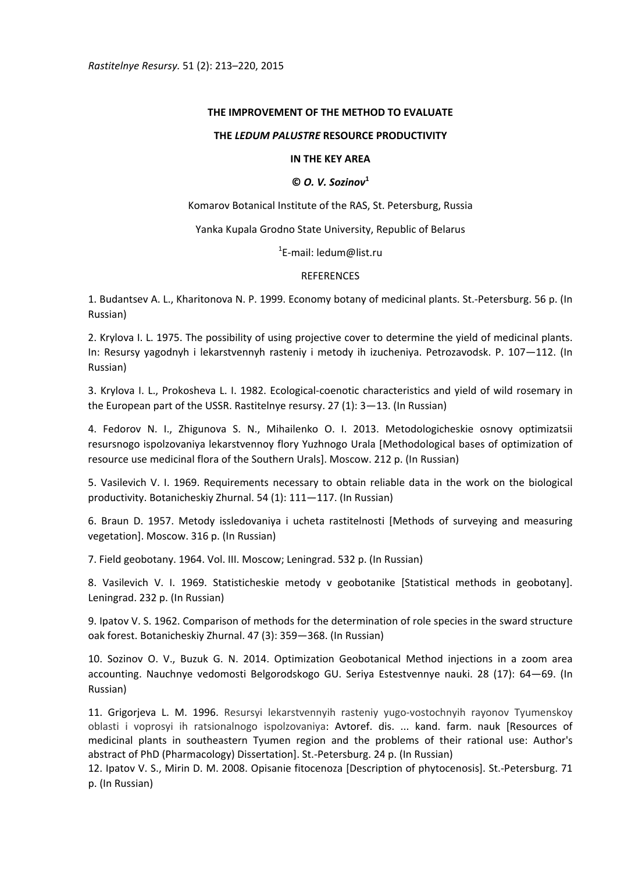*Rastitelnye Resursy.* 51 (2): 213–220, 2015

## **THE IMPROVEMENT OF THE METHOD TO EVALUATE**

## **THE** *LEDUM PALUSTRE* **RESOURCE PRODUCTIVITY**

## **IN THE KEY AREA**

# **©** *O. V. Sozinov***<sup>1</sup>**

Komarov Botanical Institute of the RAS, St. Petersburg, Russia

Yanka Kupala Grodno State University, Republic of Belarus

1 E‐mail: ledum@list.ru

## REFERENCES

1. Budantsev A. L., Kharitonova N. P. 1999. Economy botany of medicinal plants. St.‐Petersburg. 56 p. (In Russian)

2. Krylova I. L. 1975. The possibility of using projective cover to determine the yield of medicinal plants. In: Resursy yagodnyh i lekarstvennyh rasteniy i metody ih izucheniya. Petrozavodsk. P. 107—112. (In Russian)

3. Krylova I. L., Prokosheva L. I. 1982. Ecological‐coenotic characteristics and yield of wild rosemary in the European part of the USSR. Rastitelnye resursy. 27 (1): 3—13. (In Russian)

4. Fedorov N. I., Zhigunova S. N., Mihailenko O. I. 2013. Metodologicheskie osnovy optimizatsii resursnogo ispolzovaniya lekarstvennoy flory Yuzhnogo Urala [Methodological bases of optimization of resource use medicinal flora of the Southern Urals]. Мoscow. 212 p. (In Russian)

5. Vasilevich V. I. 1969. Requirements necessary to obtain reliable data in the work on the biological productivity. Botanicheskiy Zhurnal. 54 (1): 111—117. (In Russian)

6. Braun D. 1957. Metody issledovaniya i ucheta rastitelnosti [Methods of surveying and measuring vegetation]. Мoscow. 316 p. (In Russian)

7. Field geobotany. 1964. Vol. III. Мoscow; Leningrad. 532 p. (In Russian)

8. Vasilevich V. I. 1969. Statisticheskie metody v geobotanike [Statistical methods in geobotany]. Leningrad. 232 p. (In Russian)

9. Ipatov V. S. 1962. Comparison of methods for the determination of role species in the sward structure oak forest. Botanicheskiy Zhurnal. 47 (3): 359—368. (In Russian)

10. Sozinov O. V., Buzuk G. N. 2014. Optimization Geobotanical Method injections in a zoom area accounting. Nauchnye vedomosti Belgorodskogo GU. Seriya Estestvennye nauki. 28 (17): 64—69. (In Russian)

11. Grigorjeva L. M. 1996. Resursyi lekarstvennyih rasteniy yugo‐vostochnyih rayonov Tyumenskoy oblasti i voprosyi ih ratsionalnogo ispolzovaniya: Avtoref. dis. ... kand. farm. nauk [Resources of medicinal plants in southeastern Tyumen region and the problems of their rational use: Author's abstract of PhD (Pharmacology) Dissertation]. St.‐Petersburg. 24 p. (In Russian)

12. Ipatov V. S., Mirin D. M. 2008. Opisanie fitocenoza [Description of phytocenosis]. St.-Petersburg. 71 p. (In Russian)